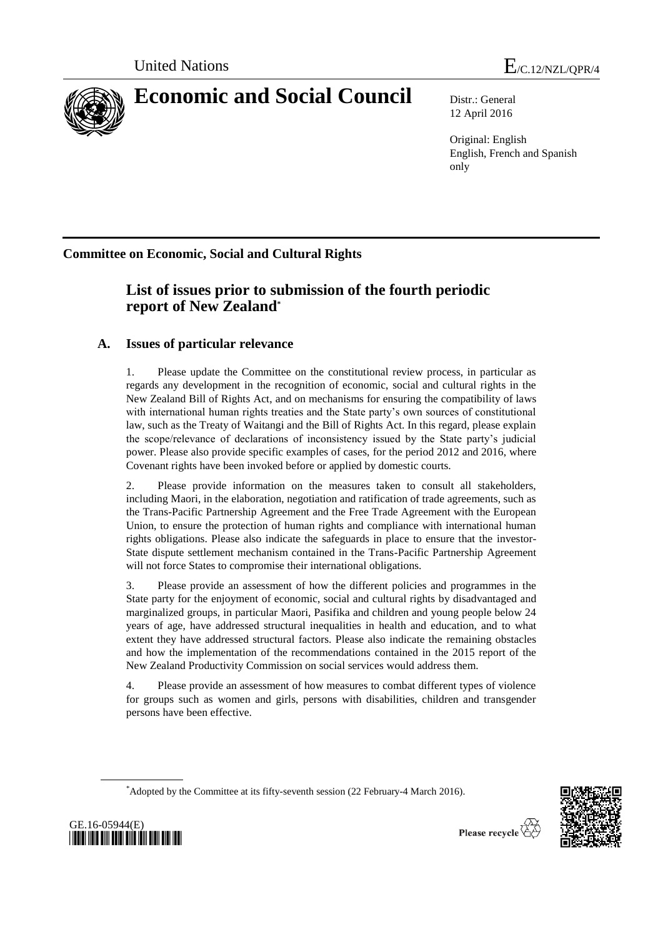

12 April 2016

Original: English English, French and Spanish only

**Committee on Economic, Social and Cultural Rights**

# **List of issues prior to submission of the fourth periodic report of New Zealand\***

## **A. Issues of particular relevance**

1. Please update the Committee on the constitutional review process, in particular as regards any development in the recognition of economic, social and cultural rights in the New Zealand Bill of Rights Act, and on mechanisms for ensuring the compatibility of laws with international human rights treaties and the State party's own sources of constitutional law, such as the Treaty of Waitangi and the Bill of Rights Act. In this regard, please explain the scope/relevance of declarations of inconsistency issued by the State party's judicial power. Please also provide specific examples of cases, for the period 2012 and 2016, where Covenant rights have been invoked before or applied by domestic courts.

2. Please provide information on the measures taken to consult all stakeholders, including Maori, in the elaboration, negotiation and ratification of trade agreements, such as the Trans-Pacific Partnership Agreement and the Free Trade Agreement with the European Union, to ensure the protection of human rights and compliance with international human rights obligations. Please also indicate the safeguards in place to ensure that the investor-State dispute settlement mechanism contained in the Trans-Pacific Partnership Agreement will not force States to compromise their international obligations.

3. Please provide an assessment of how the different policies and programmes in the State party for the enjoyment of economic, social and cultural rights by disadvantaged and marginalized groups, in particular Maori, Pasifika and children and young people below 24 years of age, have addressed structural inequalities in health and education, and to what extent they have addressed structural factors. Please also indicate the remaining obstacles and how the implementation of the recommendations contained in the 2015 report of the New Zealand Productivity Commission on social services would address them.

4. Please provide an assessment of how measures to combat different types of violence for groups such as women and girls, persons with disabilities, children and transgender persons have been effective.

\*Adopted by the Committee at its fifty-seventh session (22 February-4 March 2016).



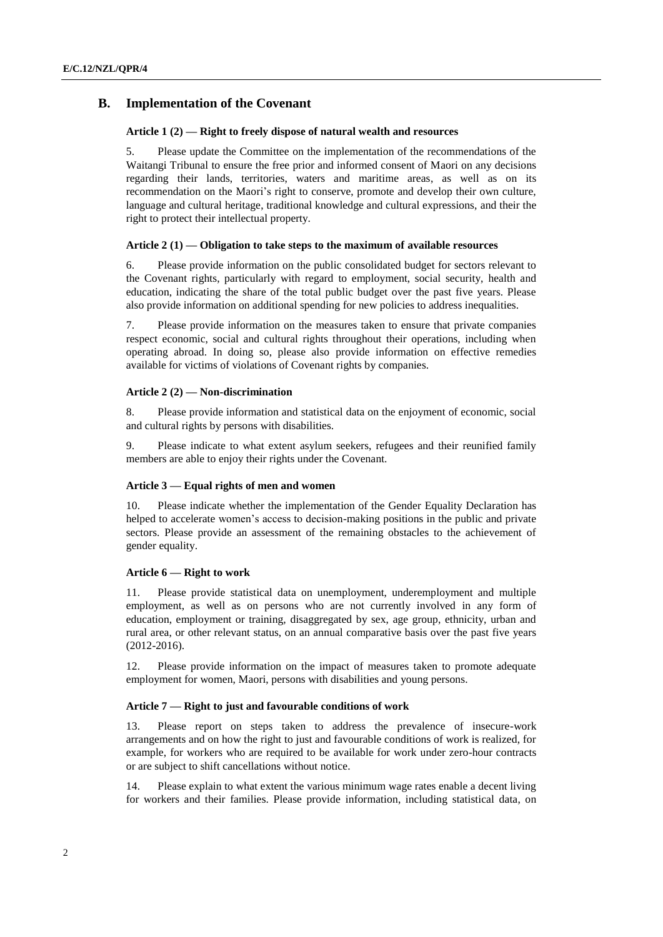### **B. Implementation of the Covenant**

#### **Article 1 (2) — Right to freely dispose of natural wealth and resources**

5. Please update the Committee on the implementation of the recommendations of the Waitangi Tribunal to ensure the free prior and informed consent of Maori on any decisions regarding their lands, territories, waters and maritime areas, as well as on its recommendation on the Maori's right to conserve, promote and develop their own culture, language and cultural heritage, traditional knowledge and cultural expressions, and their the right to protect their intellectual property.

#### **Article 2 (1) — Obligation to take steps to the maximum of available resources**

6. Please provide information on the public consolidated budget for sectors relevant to the Covenant rights, particularly with regard to employment, social security, health and education, indicating the share of the total public budget over the past five years. Please also provide information on additional spending for new policies to address inequalities.

7. Please provide information on the measures taken to ensure that private companies respect economic, social and cultural rights throughout their operations, including when operating abroad. In doing so, please also provide information on effective remedies available for victims of violations of Covenant rights by companies.

#### **Article 2 (2) — Non-discrimination**

8. Please provide information and statistical data on the enjoyment of economic, social and cultural rights by persons with disabilities.

9. Please indicate to what extent asylum seekers, refugees and their reunified family members are able to enjoy their rights under the Covenant.

### **Article 3 — Equal rights of men and women**

10. Please indicate whether the implementation of the Gender Equality Declaration has helped to accelerate women's access to decision-making positions in the public and private sectors. Please provide an assessment of the remaining obstacles to the achievement of gender equality.

#### **Article 6 — Right to work**

11. Please provide statistical data on unemployment, underemployment and multiple employment, as well as on persons who are not currently involved in any form of education, employment or training, disaggregated by sex, age group, ethnicity, urban and rural area, or other relevant status, on an annual comparative basis over the past five years (2012-2016).

12. Please provide information on the impact of measures taken to promote adequate employment for women, Maori, persons with disabilities and young persons.

#### **Article 7 — Right to just and favourable conditions of work**

13. Please report on steps taken to address the prevalence of insecure-work arrangements and on how the right to just and favourable conditions of work is realized, for example, for workers who are required to be available for work under zero-hour contracts or are subject to shift cancellations without notice.

14. Please explain to what extent the various minimum wage rates enable a decent living for workers and their families. Please provide information, including statistical data, on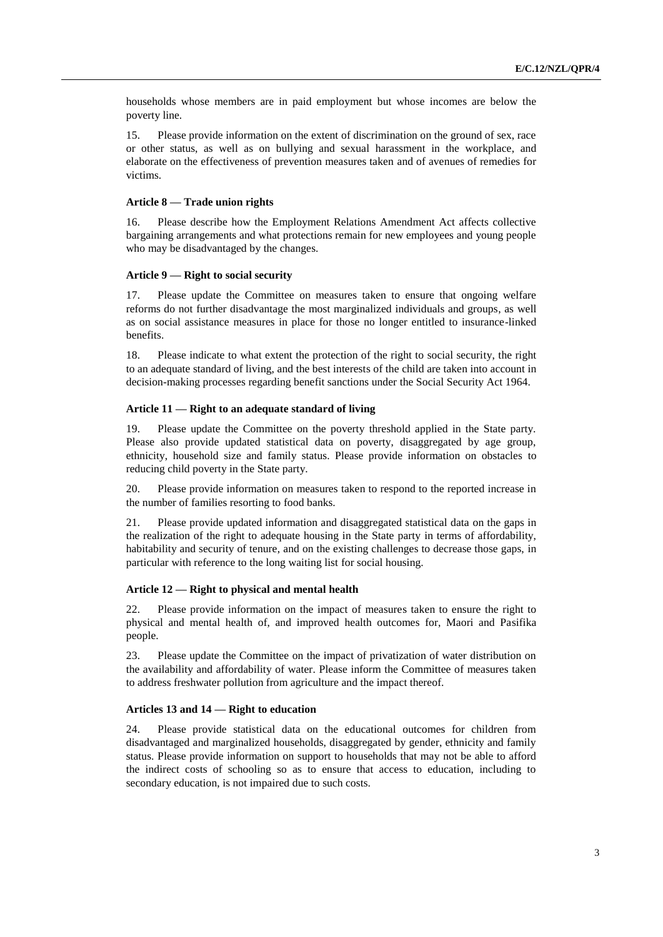households whose members are in paid employment but whose incomes are below the poverty line.

15. Please provide information on the extent of discrimination on the ground of sex, race or other status, as well as on bullying and sexual harassment in the workplace, and elaborate on the effectiveness of prevention measures taken and of avenues of remedies for victims.

#### **Article 8 — Trade union rights**

16. Please describe how the Employment Relations Amendment Act affects collective bargaining arrangements and what protections remain for new employees and young people who may be disadvantaged by the changes.

#### **Article 9 — Right to social security**

17. Please update the Committee on measures taken to ensure that ongoing welfare reforms do not further disadvantage the most marginalized individuals and groups, as well as on social assistance measures in place for those no longer entitled to insurance-linked benefits.

18. Please indicate to what extent the protection of the right to social security, the right to an adequate standard of living, and the best interests of the child are taken into account in decision-making processes regarding benefit sanctions under the Social Security Act 1964.

#### **Article 11 — Right to an adequate standard of living**

19. Please update the Committee on the poverty threshold applied in the State party. Please also provide updated statistical data on poverty, disaggregated by age group, ethnicity, household size and family status. Please provide information on obstacles to reducing child poverty in the State party.

20. Please provide information on measures taken to respond to the reported increase in the number of families resorting to food banks.

21. Please provide updated information and disaggregated statistical data on the gaps in the realization of the right to adequate housing in the State party in terms of affordability, habitability and security of tenure, and on the existing challenges to decrease those gaps, in particular with reference to the long waiting list for social housing.

#### **Article 12 — Right to physical and mental health**

22. Please provide information on the impact of measures taken to ensure the right to physical and mental health of, and improved health outcomes for, Maori and Pasifika people.

23. Please update the Committee on the impact of privatization of water distribution on the availability and affordability of water. Please inform the Committee of measures taken to address freshwater pollution from agriculture and the impact thereof.

#### **Articles 13 and 14 — Right to education**

24. Please provide statistical data on the educational outcomes for children from disadvantaged and marginalized households, disaggregated by gender, ethnicity and family status. Please provide information on support to households that may not be able to afford the indirect costs of schooling so as to ensure that access to education, including to secondary education, is not impaired due to such costs.